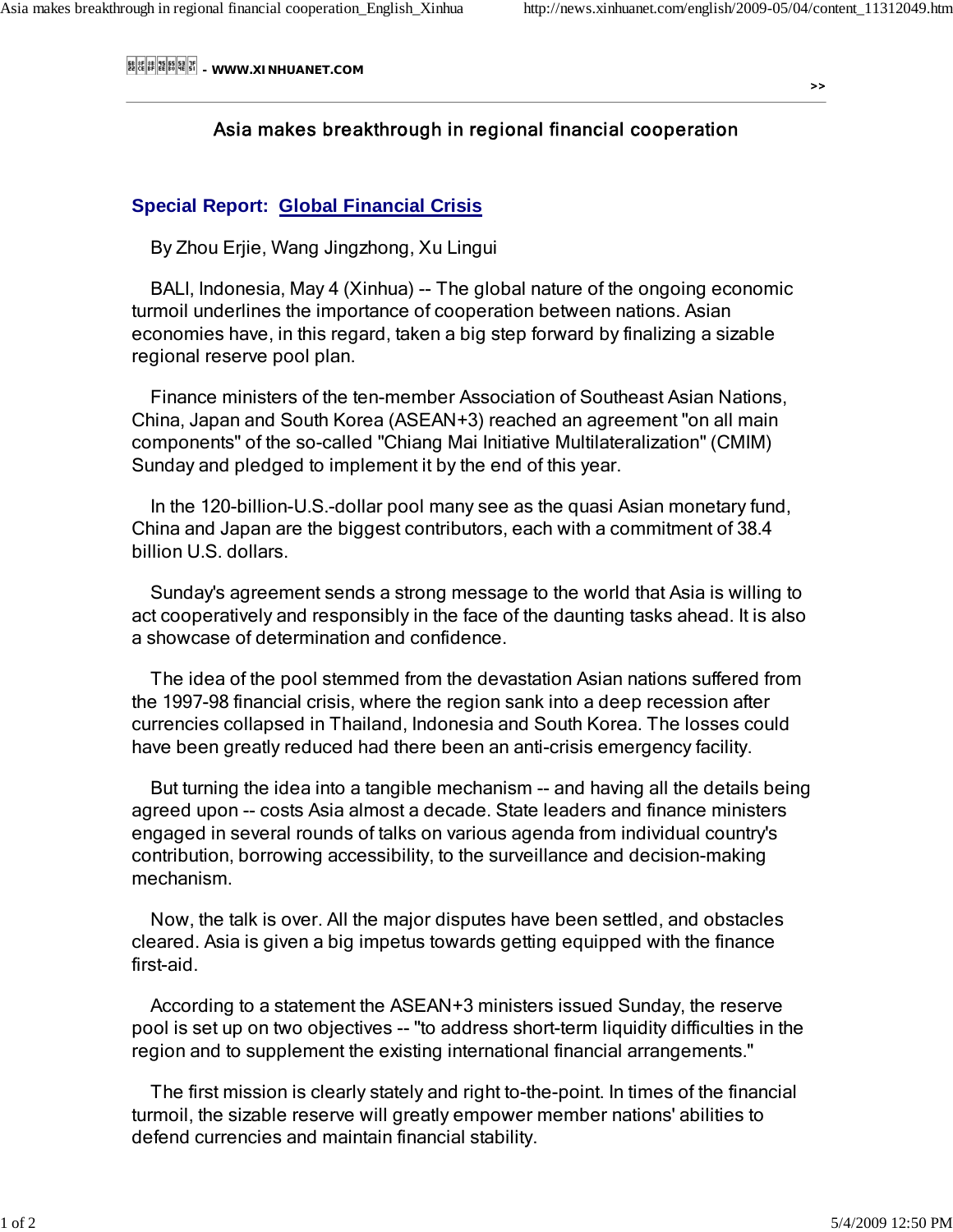- WWW.XINHUANET.COM **- WWW.XINHUANET.COM** ->>

## Asia makes breakthrough in regional financial cooperation

## **Special Report: Global Financial Crisis**

By Zhou Erjie, Wang Jingzhong, Xu Lingui

 BALI, Indonesia, May 4 (Xinhua) -- The global nature of the ongoing economic turmoil underlines the importance of cooperation between nations. Asian economies have, in this regard, taken a big step forward by finalizing a sizable regional reserve pool plan.

 Finance ministers of the ten-member Association of Southeast Asian Nations, China, Japan and South Korea (ASEAN+3) reached an agreement "on all main components" of the so-called "Chiang Mai Initiative Multilateralization" (CMIM) Sunday and pledged to implement it by the end of this year.

 In the 120-billion-U.S.-dollar pool many see as the quasi Asian monetary fund, China and Japan are the biggest contributors, each with a commitment of 38.4 billion U.S. dollars.

 Sunday's agreement sends a strong message to the world that Asia is willing to act cooperatively and responsibly in the face of the daunting tasks ahead. It is also a showcase of determination and confidence.

 The idea of the pool stemmed from the devastation Asian nations suffered from the 1997-98 financial crisis, where the region sank into a deep recession after currencies collapsed in Thailand, Indonesia and South Korea. The losses could have been greatly reduced had there been an anti-crisis emergency facility.

 But turning the idea into a tangible mechanism -- and having all the details being agreed upon -- costs Asia almost a decade. State leaders and finance ministers engaged in several rounds of talks on various agenda from individual country's contribution, borrowing accessibility, to the surveillance and decision-making mechanism.

 Now, the talk is over. All the major disputes have been settled, and obstacles cleared. Asia is given a big impetus towards getting equipped with the finance first-aid.

 According to a statement the ASEAN+3 ministers issued Sunday, the reserve pool is set up on two objectives -- "to address short-term liquidity difficulties in the region and to supplement the existing international financial arrangements."

 The first mission is clearly stately and right to-the-point. In times of the financial turmoil, the sizable reserve will greatly empower member nations' abilities to defend currencies and maintain financial stability.